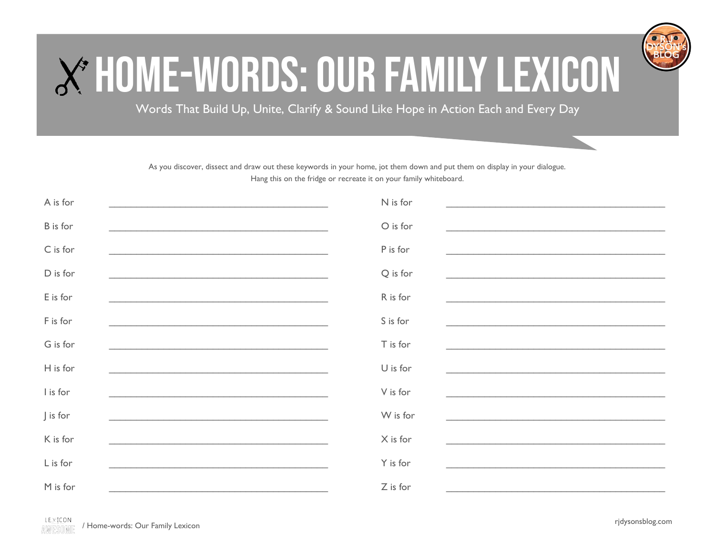

## X\*HOME-WORDS: OUR FAMILY LEXICON

Words That Build Up, Unite, Clarify & Sound Like Hope in Action Each and Every Day

As you discover, dissect and draw out these keywords in your home, jot them down and put them on display in your dialogue. Hang this on the fridge or recreate it on your family whiteboard.

| A is for        | N is for<br><u> 1989 - John Stein, Amerikaansk politiker (* 1989)</u>                                                                                                                                                                                                                                                                                                     |
|-----------------|---------------------------------------------------------------------------------------------------------------------------------------------------------------------------------------------------------------------------------------------------------------------------------------------------------------------------------------------------------------------------|
| <b>B</b> is for | O is for<br><u> 1989 - John Stoff, amerikansk politiker (d. 1989)</u><br><u> 1989 - John Stein, Amerikaansk politiker († 1908)</u>                                                                                                                                                                                                                                        |
| C is for        | P is for<br><u> 1980 - Jan James James James James James James James James James James James James James James James James J</u>                                                                                                                                                                                                                                          |
| D is for        | Q is for<br><u> 1989 - Johann Stein, mars an de Frankrik en fan de Frankrik fan de Frankrik en fan de Frankrik fan de Frankri</u>                                                                                                                                                                                                                                         |
| E is for        | R is for                                                                                                                                                                                                                                                                                                                                                                  |
| F is for        | S is for<br>and the control of the control of the control of the control of the control of the control of the control of the                                                                                                                                                                                                                                              |
| G is for        | T is for<br><u> 1989 - Johann John Stone, Amerikaansk politiker (</u>                                                                                                                                                                                                                                                                                                     |
| H is for        | $U$ is for<br><u> 1989 - Johann Stoff, amerikansk politiker (d. 1989)</u>                                                                                                                                                                                                                                                                                                 |
| I is for        | V is for                                                                                                                                                                                                                                                                                                                                                                  |
| J is for        | W is for                                                                                                                                                                                                                                                                                                                                                                  |
| K is for        | X is for<br><u>and the state of the state of the state of the state of the state of the state of the state of the state of th</u><br><u>and the contract of the contract of the contract of the contract of the contract of the contract of the contract of the contract of the contract of the contract of the contract of the contract of the contract of the contr</u> |
| L is for        | Y is for                                                                                                                                                                                                                                                                                                                                                                  |
| M is for        | Z is for                                                                                                                                                                                                                                                                                                                                                                  |